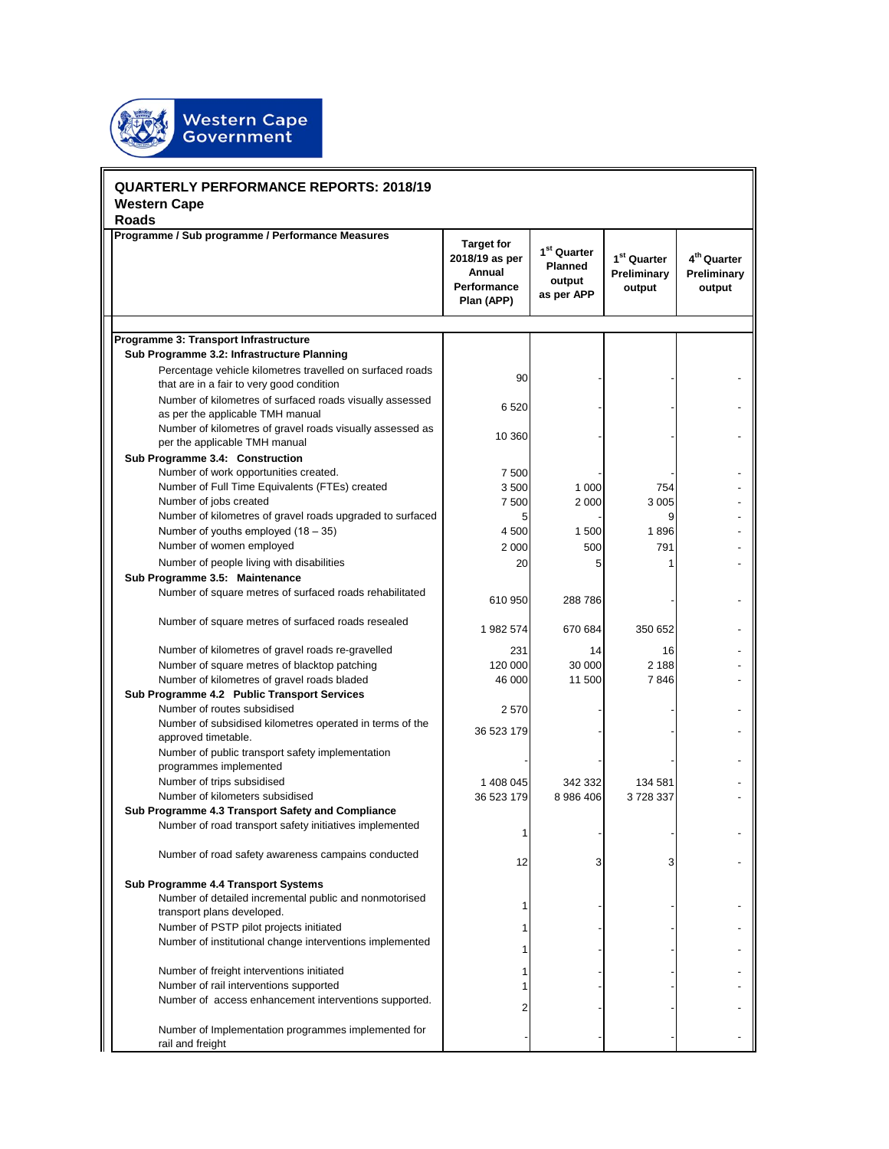

| <b>QUARTERLY PERFORMANCE REPORTS: 2018/19</b><br><b>Western Cape</b> |                                                                                                                                                                                               |                                                                            |                                                            |                                                  |                                                  |  |  |  |
|----------------------------------------------------------------------|-----------------------------------------------------------------------------------------------------------------------------------------------------------------------------------------------|----------------------------------------------------------------------------|------------------------------------------------------------|--------------------------------------------------|--------------------------------------------------|--|--|--|
|                                                                      | <b>Roads</b>                                                                                                                                                                                  |                                                                            |                                                            |                                                  |                                                  |  |  |  |
|                                                                      | Programme / Sub programme / Performance Measures                                                                                                                                              | <b>Target for</b><br>2018/19 as per<br>Annual<br>Performance<br>Plan (APP) | $1^{st}$ Quarter<br><b>Planned</b><br>output<br>as per APP | 1 <sup>st</sup> Quarter<br>Preliminary<br>output | 4 <sup>th</sup> Quarter<br>Preliminary<br>output |  |  |  |
|                                                                      |                                                                                                                                                                                               |                                                                            |                                                            |                                                  |                                                  |  |  |  |
|                                                                      | Programme 3: Transport Infrastructure<br>Sub Programme 3.2: Infrastructure Planning<br>Percentage vehicle kilometres travelled on surfaced roads<br>that are in a fair to very good condition | 90                                                                         |                                                            |                                                  |                                                  |  |  |  |
|                                                                      | Number of kilometres of surfaced roads visually assessed<br>as per the applicable TMH manual                                                                                                  | 6520                                                                       |                                                            |                                                  |                                                  |  |  |  |
|                                                                      | Number of kilometres of gravel roads visually assessed as<br>per the applicable TMH manual                                                                                                    | 10 360                                                                     |                                                            |                                                  |                                                  |  |  |  |
|                                                                      | Sub Programme 3.4: Construction                                                                                                                                                               |                                                                            |                                                            |                                                  |                                                  |  |  |  |
|                                                                      | Number of work opportunities created.                                                                                                                                                         | 7 500                                                                      |                                                            |                                                  |                                                  |  |  |  |
|                                                                      | Number of Full Time Equivalents (FTEs) created                                                                                                                                                | 3500                                                                       | 1 0 0 0                                                    | 754                                              |                                                  |  |  |  |
|                                                                      | Number of jobs created                                                                                                                                                                        | 7 500                                                                      | 2 0 0 0                                                    | 3 0 0 5                                          |                                                  |  |  |  |
|                                                                      | Number of kilometres of gravel roads upgraded to surfaced                                                                                                                                     | 5                                                                          |                                                            | 9                                                |                                                  |  |  |  |
|                                                                      | Number of youths employed $(18 - 35)$                                                                                                                                                         | 4 500                                                                      | 1500                                                       | 1896                                             |                                                  |  |  |  |
|                                                                      | Number of women employed                                                                                                                                                                      | 2 0 0 0                                                                    | 500                                                        | 791                                              |                                                  |  |  |  |
|                                                                      | Number of people living with disabilities<br>Sub Programme 3.5: Maintenance                                                                                                                   | 20                                                                         |                                                            |                                                  |                                                  |  |  |  |
|                                                                      | Number of square metres of surfaced roads rehabilitated                                                                                                                                       | 610 950                                                                    | 288786                                                     |                                                  |                                                  |  |  |  |
|                                                                      | Number of square metres of surfaced roads resealed                                                                                                                                            | 1982 574                                                                   | 670 684                                                    | 350 652                                          |                                                  |  |  |  |
|                                                                      | Number of kilometres of gravel roads re-gravelled                                                                                                                                             | 231                                                                        | 14                                                         | 16                                               |                                                  |  |  |  |
|                                                                      | Number of square metres of blacktop patching                                                                                                                                                  | 120 000                                                                    | 30 000                                                     | 2 1 8 8                                          |                                                  |  |  |  |
|                                                                      | Number of kilometres of gravel roads bladed                                                                                                                                                   | 46 000                                                                     | 11 500                                                     | 7846                                             |                                                  |  |  |  |
|                                                                      | Sub Programme 4.2 Public Transport Services                                                                                                                                                   |                                                                            |                                                            |                                                  |                                                  |  |  |  |
|                                                                      | Number of routes subsidised                                                                                                                                                                   | 2570                                                                       |                                                            |                                                  |                                                  |  |  |  |
|                                                                      | Number of subsidised kilometres operated in terms of the<br>approved timetable.                                                                                                               | 36 523 179                                                                 |                                                            |                                                  |                                                  |  |  |  |
|                                                                      | Number of public transport safety implementation<br>programmes implemented                                                                                                                    |                                                                            |                                                            |                                                  |                                                  |  |  |  |
|                                                                      | Number of trips subsidised                                                                                                                                                                    | 1 408 045                                                                  | 342 332                                                    | 134 581                                          |                                                  |  |  |  |
|                                                                      | Number of kilometers subsidised                                                                                                                                                               | 36 523 179                                                                 | 8 986 406                                                  | 3728337                                          |                                                  |  |  |  |
|                                                                      | Sub Programme 4.3 Transport Safety and Compliance<br>Number of road transport safety initiatives implemented                                                                                  | 1                                                                          |                                                            |                                                  |                                                  |  |  |  |
|                                                                      | Number of road safety awareness campains conducted                                                                                                                                            | 12                                                                         | 3                                                          | 3                                                |                                                  |  |  |  |
|                                                                      | Sub Programme 4.4 Transport Systems<br>Number of detailed incremental public and nonmotorised                                                                                                 |                                                                            |                                                            |                                                  |                                                  |  |  |  |
|                                                                      | transport plans developed.                                                                                                                                                                    |                                                                            |                                                            |                                                  |                                                  |  |  |  |
|                                                                      | Number of PSTP pilot projects initiated<br>Number of institutional change interventions implemented                                                                                           |                                                                            |                                                            |                                                  |                                                  |  |  |  |
|                                                                      |                                                                                                                                                                                               |                                                                            |                                                            |                                                  |                                                  |  |  |  |
|                                                                      | Number of freight interventions initiated<br>Number of rail interventions supported                                                                                                           |                                                                            |                                                            |                                                  |                                                  |  |  |  |
|                                                                      | Number of access enhancement interventions supported.                                                                                                                                         |                                                                            |                                                            |                                                  |                                                  |  |  |  |
|                                                                      | Number of Implementation programmes implemented for<br>rail and freight                                                                                                                       |                                                                            |                                                            |                                                  |                                                  |  |  |  |